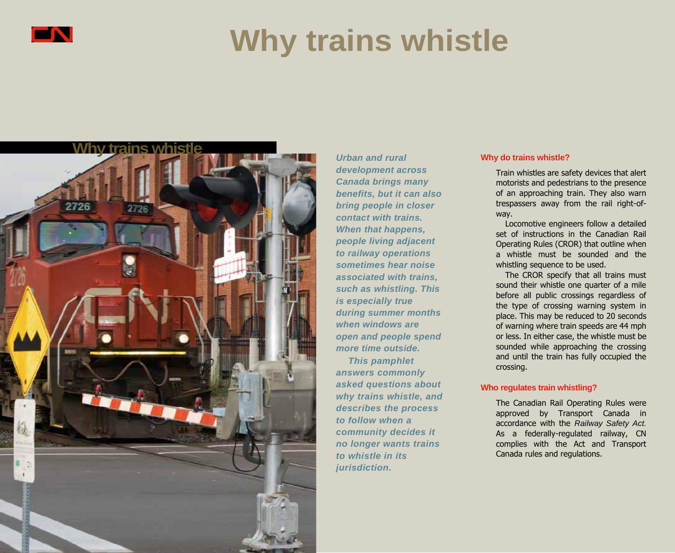

# **Why trains whistle**



*Urban and rural development across Canada brings many benefits, but it can also bring people in closer contact with trains. When that happens, people living adjacent to railway operations sometimes hear noise associated with trains, such as whistling. This is especially true during summer months when windows are open and people spend more time outside.*

*This pamphlet answers commonly asked questions about why trains whistle, and describes the process to follow when a community decides it no longer wants trains to whistle in its jurisdiction.*

#### **Why do trains whistle?**

Train whistles are safety devices that alert motorists and pedestrians to the presence of an approaching train. They also warn trespassers away from the rail right-ofway.

Locomotive engineers follow a detailed set of instructions in the Canadian Rail Operating Rules (CROR) that outline when a whistle must be sounded and the whistling sequence to be used.

The CROR specify that all trains must sound their whistle one quarter of a mile before all public crossings regardless of the type of crossing warning system in place. This may be reduced to 20 seconds of warning where train speeds are 44 mph or less. In either case, the whistle must be sounded while approaching the crossing and until the train has fully occupied the crossing.

### **Who regulates train whistling?**

The Canadian Rail Operating Rules were approved by Transport Canada in accordance with the *Railway Safety Act.*  As a federally-regulated railway, CN complies with the Act and Transport Canada rules and regulations.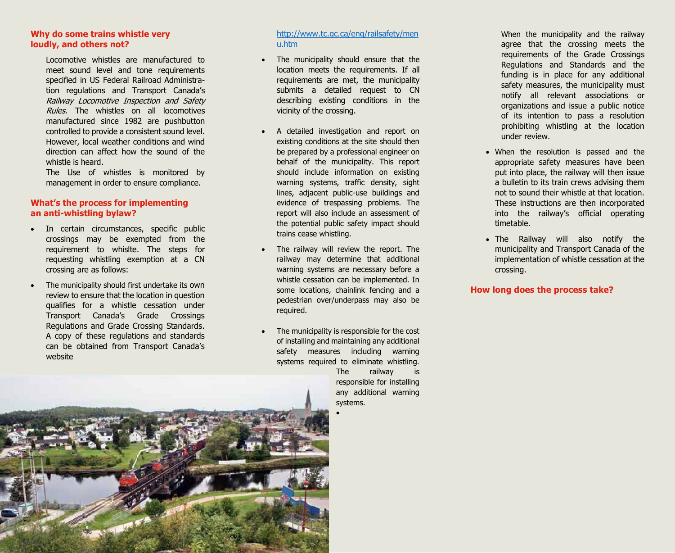### **Why do some trains whistle very loudly, and others not?**

Locomotive whistles are manufactured to meet sound level and tone requirements specified in US Federal Railroad Administration regulations and Transport Canada's Railway Locomotive Inspection and Safety Rules. The whistles on all locomotives manufactured since 1982 are pushbutton controlled to provide a consistent sound level. However, local weather conditions and wind direction can affect how the sound of the whistle is heard.

The Use of whistles is monitored by management in order to ensure compliance.

## **What's the process for implementing an anti-whistling bylaw?**

- In certain circumstances, specific public crossings may be exempted from the requirement to whislte. The steps for requesting whistling exemption at a CN crossing are as follows:
- The municipality should first undertake its own review to ensure that the location in question qualifies for a whistle cessation under Transport Canada's Grade Crossings Regulations and Grade Crossing Standards. A copy of these regulations and standards can be obtained from Transport Canada's website

## [http://www.tc.gc.ca/eng/railsafety/men](http://www.tc.gc.ca/eng/railsafety/menu.htm) [u.htm](http://www.tc.gc.ca/eng/railsafety/menu.htm)

- The municipality should ensure that the location meets the requirements. If all requirements are met, the municipality submits a detailed request to CN describing existing conditions in the vicinity of the crossing.
- A detailed investigation and report on existing conditions at the site should then be prepared by a professional engineer on behalf of the municipality. This report should include information on existing warning systems, traffic density, sight lines, adjacent public-use buildings and evidence of trespassing problems. The report will also include an assessment of the potential public safety impact should trains cease whistling.
- The railway will review the report. The railway may determine that additional warning systems are necessary before a whistle cessation can be implemented. In some locations, chainlink fencing and a pedestrian over/underpass may also be required.
- The municipality is responsible for the cost of installing and maintaining any additional safety measures including warning systems required to eliminate whistling. The railway is

responsible for installing any additional warning systems.  $\bullet$ 

When the municipality and the railway agree that the crossing meets the requirements of the Grade Crossings Regulations and Standards and the funding is in place for any additional safety measures, the municipality must notify all relevant associations or organizations and issue a public notice of its intention to pass a resolution prohibiting whistling at the location under review.

- When the resolution is passed and the appropriate safety measures have been put into place, the railway will then issue a bulletin to its train crews advising them not to sound their whistle at that location. These instructions are then incorporated into the railway's official operating timetable.
- The Railway will also notify the municipality and Transport Canada of the implementation of whistle cessation at the crossing.

### **How long does the process take?**